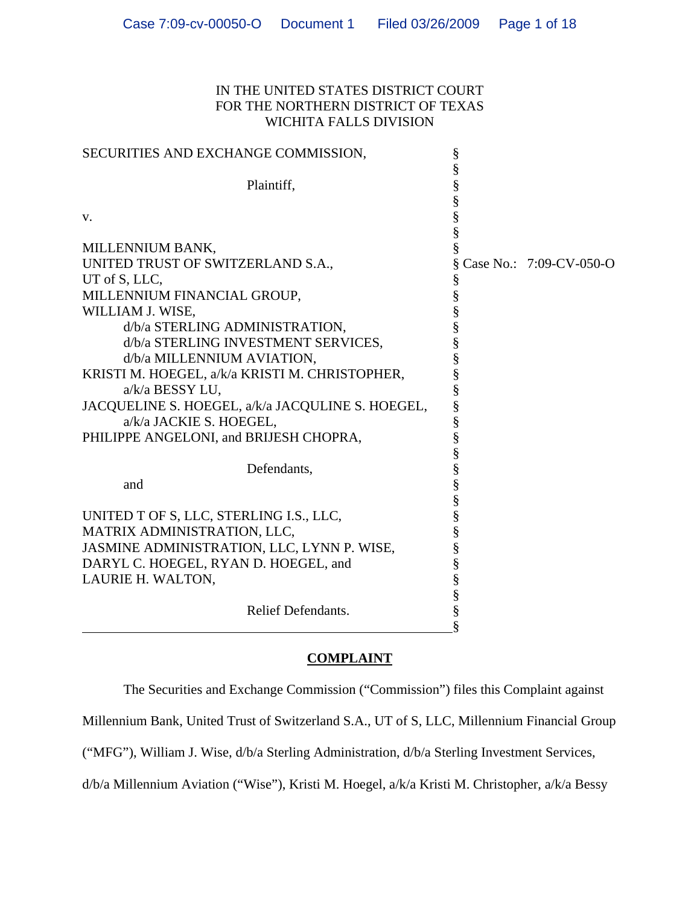### IN THE UNITED STATES DISTRICT COURT FOR THE NORTHERN DISTRICT OF TEXAS WICHITA FALLS DIVISION

| SECURITIES AND EXCHANGE COMMISSION,              | §<br>§         |                         |
|--------------------------------------------------|----------------|-------------------------|
| Plaintiff,                                       |                |                         |
| V.                                               | So so so so so |                         |
|                                                  |                |                         |
| MILLENNIUM BANK,                                 |                |                         |
| UNITED TRUST OF SWITZERLAND S.A.,                |                | Case No.: 7:09-CV-050-O |
| UT of S, LLC,                                    | ş              |                         |
| MILLENNIUM FINANCIAL GROUP,                      |                |                         |
| WILLIAM J. WISE,                                 |                |                         |
| d/b/a STERLING ADMINISTRATION,                   |                |                         |
| d/b/a STERLING INVESTMENT SERVICES,              |                |                         |
| d/b/a MILLENNIUM AVIATION,                       |                |                         |
| KRISTI M. HOEGEL, a/k/a KRISTI M. CHRISTOPHER,   |                |                         |
| a/k/a BESSY LU,                                  |                |                         |
| JACQUELINE S. HOEGEL, a/k/a JACQULINE S. HOEGEL, |                |                         |
| a/k/a JACKIE S. HOEGEL,                          |                |                         |
| PHILIPPE ANGELONI, and BRIJESH CHOPRA,           |                |                         |
|                                                  |                |                         |
| Defendants,                                      |                |                         |
| and                                              |                |                         |
|                                                  |                |                         |
| UNITED T OF S, LLC, STERLING I.S., LLC,          |                |                         |
| MATRIX ADMINISTRATION, LLC,                      |                |                         |
| JASMINE ADMINISTRATION, LLC, LYNN P. WISE,       |                |                         |
| DARYL C. HOEGEL, RYAN D. HOEGEL, and             |                |                         |
| LAURIE H. WALTON,                                |                |                         |
|                                                  | So so so so so |                         |
| Relief Defendants.                               |                |                         |
|                                                  |                |                         |

#### **COMPLAINT**

The Securities and Exchange Commission ("Commission") files this Complaint against

Millennium Bank, United Trust of Switzerland S.A., UT of S, LLC, Millennium Financial Group

("MFG"), William J. Wise, d/b/a Sterling Administration, d/b/a Sterling Investment Services,

d/b/a Millennium Aviation ("Wise"), Kristi M. Hoegel, a/k/a Kristi M. Christopher, a/k/a Bessy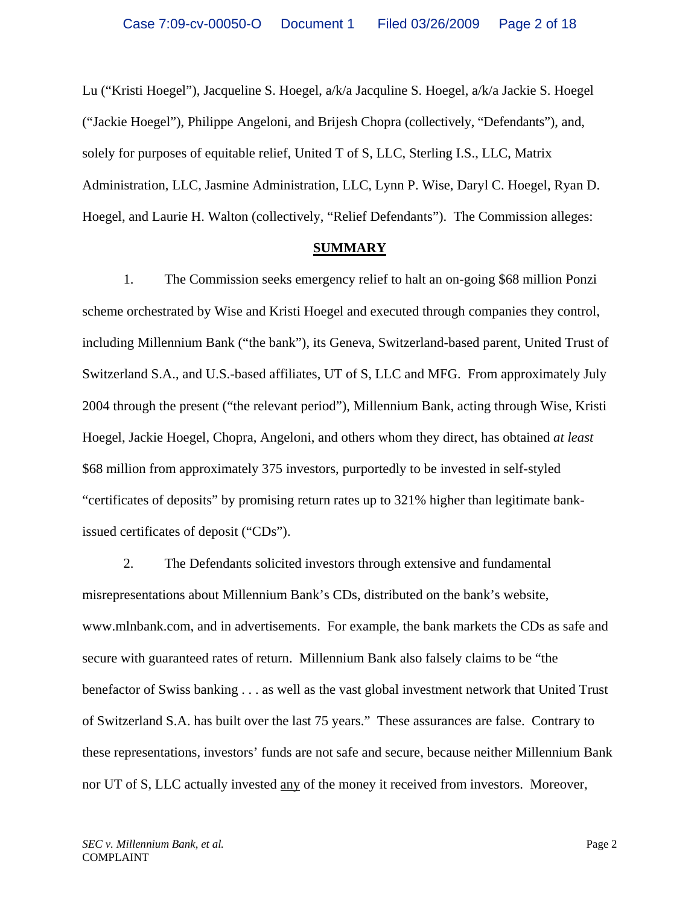Lu ("Kristi Hoegel"), Jacqueline S. Hoegel, a/k/a Jacquline S. Hoegel, a/k/a Jackie S. Hoegel ("Jackie Hoegel"), Philippe Angeloni, and Brijesh Chopra (collectively, "Defendants"), and, solely for purposes of equitable relief, United T of S, LLC, Sterling I.S., LLC, Matrix Administration, LLC, Jasmine Administration, LLC, Lynn P. Wise, Daryl C. Hoegel, Ryan D. Hoegel, and Laurie H. Walton (collectively, "Relief Defendants"). The Commission alleges:

#### **SUMMARY**

1. The Commission seeks emergency relief to halt an on-going \$68 million Ponzi scheme orchestrated by Wise and Kristi Hoegel and executed through companies they control, including Millennium Bank ("the bank"), its Geneva, Switzerland-based parent, United Trust of Switzerland S.A., and U.S.-based affiliates, UT of S, LLC and MFG. From approximately July 2004 through the present ("the relevant period"), Millennium Bank, acting through Wise, Kristi Hoegel, Jackie Hoegel, Chopra, Angeloni, and others whom they direct, has obtained *at least*  \$68 million from approximately 375 investors, purportedly to be invested in self-styled "certificates of deposits" by promising return rates up to 321% higher than legitimate bankissued certificates of deposit ("CDs").

2. The Defendants solicited investors through extensive and fundamental misrepresentations about Millennium Bank's CDs, distributed on the bank's website, www.mlnbank.com, and in advertisements. For example, the bank markets the CDs as safe and secure with guaranteed rates of return. Millennium Bank also falsely claims to be "the benefactor of Swiss banking . . . as well as the vast global investment network that United Trust of Switzerland S.A. has built over the last 75 years." These assurances are false. Contrary to these representations, investors' funds are not safe and secure, because neither Millennium Bank nor UT of S, LLC actually invested any of the money it received from investors. Moreover,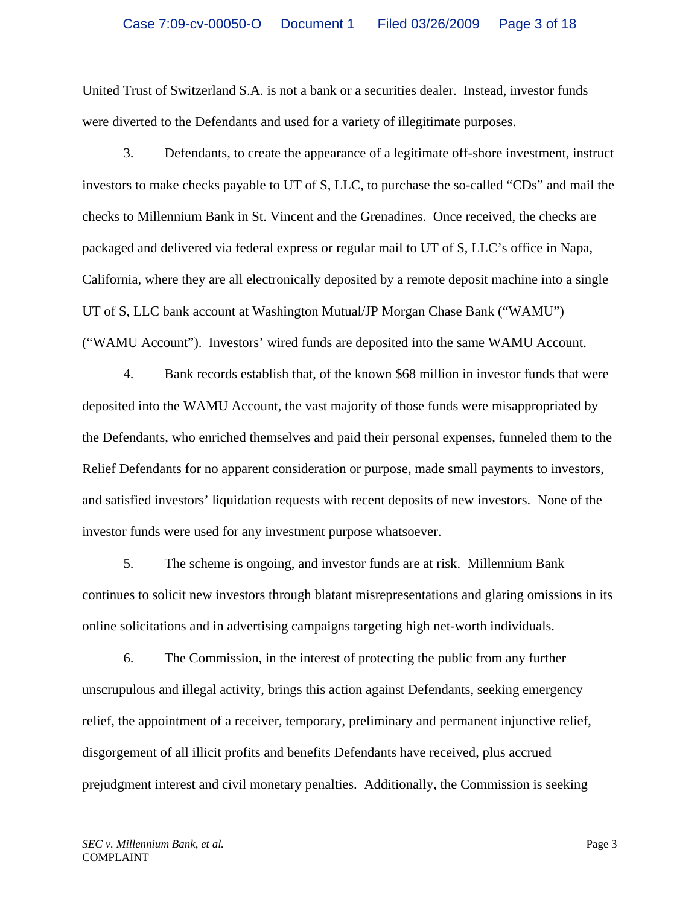United Trust of Switzerland S.A. is not a bank or a securities dealer. Instead, investor funds were diverted to the Defendants and used for a variety of illegitimate purposes.

3. Defendants, to create the appearance of a legitimate off-shore investment, instruct investors to make checks payable to UT of S, LLC, to purchase the so-called "CDs" and mail the checks to Millennium Bank in St. Vincent and the Grenadines. Once received, the checks are packaged and delivered via federal express or regular mail to UT of S, LLC's office in Napa, California, where they are all electronically deposited by a remote deposit machine into a single UT of S, LLC bank account at Washington Mutual/JP Morgan Chase Bank ("WAMU") ("WAMU Account"). Investors' wired funds are deposited into the same WAMU Account.

4. Bank records establish that, of the known \$68 million in investor funds that were deposited into the WAMU Account, the vast majority of those funds were misappropriated by the Defendants, who enriched themselves and paid their personal expenses, funneled them to the Relief Defendants for no apparent consideration or purpose, made small payments to investors, and satisfied investors' liquidation requests with recent deposits of new investors. None of the investor funds were used for any investment purpose whatsoever.

5. The scheme is ongoing, and investor funds are at risk. Millennium Bank continues to solicit new investors through blatant misrepresentations and glaring omissions in its online solicitations and in advertising campaigns targeting high net-worth individuals.

6. The Commission, in the interest of protecting the public from any further unscrupulous and illegal activity, brings this action against Defendants, seeking emergency relief, the appointment of a receiver, temporary, preliminary and permanent injunctive relief, disgorgement of all illicit profits and benefits Defendants have received, plus accrued prejudgment interest and civil monetary penalties. Additionally, the Commission is seeking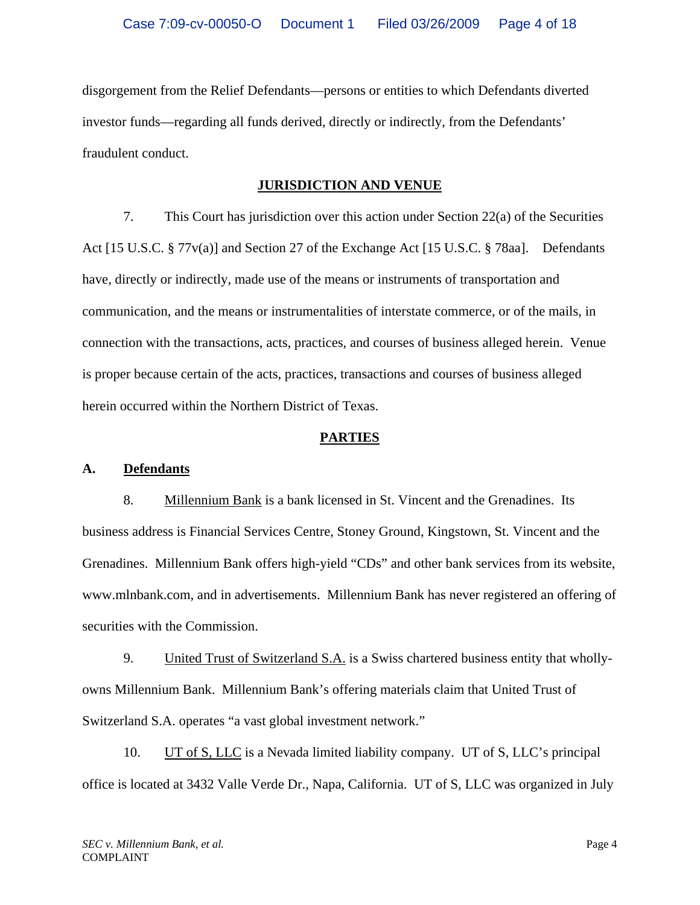disgorgement from the Relief Defendants—persons or entities to which Defendants diverted investor funds—regarding all funds derived, directly or indirectly, from the Defendants' fraudulent conduct.

## **JURISDICTION AND VENUE**

 Act [15 U.S.C. § 77v(a)] and Section 27 of the Exchange Act [15 U.S.C. § 78aa]. Defendants 7. This Court has jurisdiction over this action under Section 22(a) of the Securities have, directly or indirectly, made use of the means or instruments of transportation and communication, and the means or instrumentalities of interstate commerce, or of the mails, in connection with the transactions, acts, practices, and courses of business alleged herein. Venue is proper because certain of the acts, practices, transactions and courses of business alleged herein occurred within the Northern District of Texas.

#### **PARTIES**

#### **A. Defendants**

8. Millennium Bank is a bank licensed in St. Vincent and the Grenadines. Its business address is Financial Services Centre, Stoney Ground, Kingstown, St. Vincent and the Grenadines. Millennium Bank offers high-yield "CDs" and other bank services from its website, www.mlnbank.com, and in advertisements. Millennium Bank has never registered an offering of securities with the Commission.

9. United Trust of Switzerland S.A. is a Swiss chartered business entity that whollyowns Millennium Bank. Millennium Bank's offering materials claim that United Trust of Switzerland S.A. operates "a vast global investment network."

10. UT of S, LLC is a Nevada limited liability company. UT of S, LLC's principal office is located at 3432 Valle Verde Dr., Napa, California. UT of S, LLC was organized in July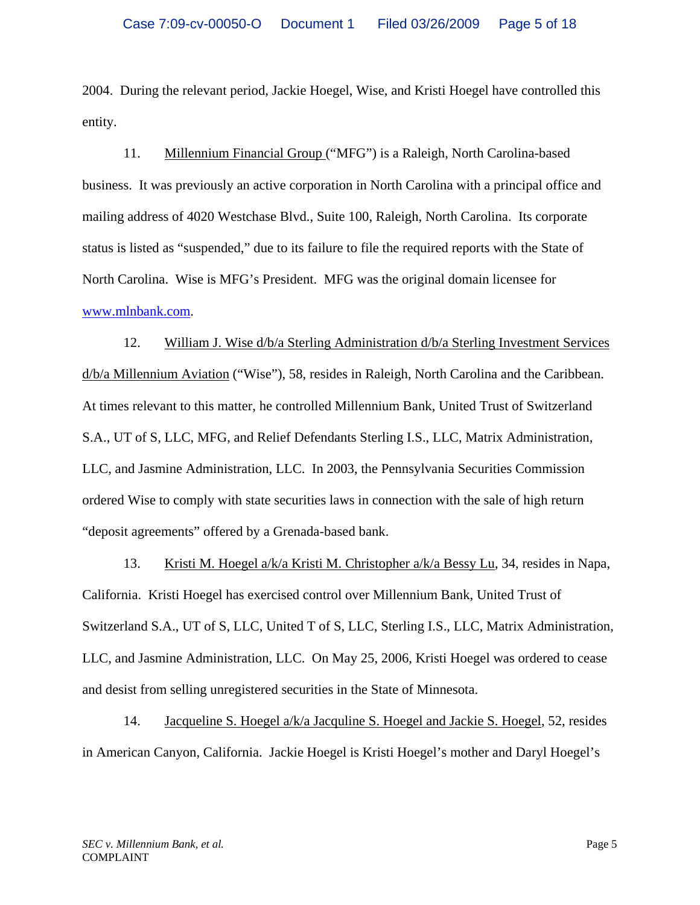2004. During the relevant period, Jackie Hoegel, Wise, and Kristi Hoegel have controlled this entity.

11. Millennium Financial Group ("MFG") is a Raleigh, North Carolina-based business. It was previously an active corporation in North Carolina with a principal office and mailing address of 4020 Westchase Blvd., Suite 100, Raleigh, North Carolina. Its corporate status is listed as "suspended," due to its failure to file the required reports with the State of North Carolina. Wise is MFG's President. MFG was the original domain licensee for www.mlnbank.com.

12. William J. Wise d/b/a Sterling Administration d/b/a Sterling Investment Services d/b/a Millennium Aviation ("Wise"), 58, resides in Raleigh, North Carolina and the Caribbean. At times relevant to this matter, he controlled Millennium Bank, United Trust of Switzerland S.A., UT of S, LLC, MFG, and Relief Defendants Sterling I.S., LLC, Matrix Administration, LLC, and Jasmine Administration, LLC. In 2003, the Pennsylvania Securities Commission ordered Wise to comply with state securities laws in connection with the sale of high return "deposit agreements" offered by a Grenada-based bank.

13. Kristi M. Hoegel a/k/a Kristi M. Christopher a/k/a Bessy Lu, 34, resides in Napa, California. Kristi Hoegel has exercised control over Millennium Bank, United Trust of Switzerland S.A., UT of S, LLC, United T of S, LLC, Sterling I.S., LLC, Matrix Administration, LLC, and Jasmine Administration, LLC. On May 25, 2006, Kristi Hoegel was ordered to cease and desist from selling unregistered securities in the State of Minnesota.

14. Jacqueline S. Hoegel a/k/a Jacquline S. Hoegel and Jackie S. Hoegel, 52, resides in American Canyon, California. Jackie Hoegel is Kristi Hoegel's mother and Daryl Hoegel's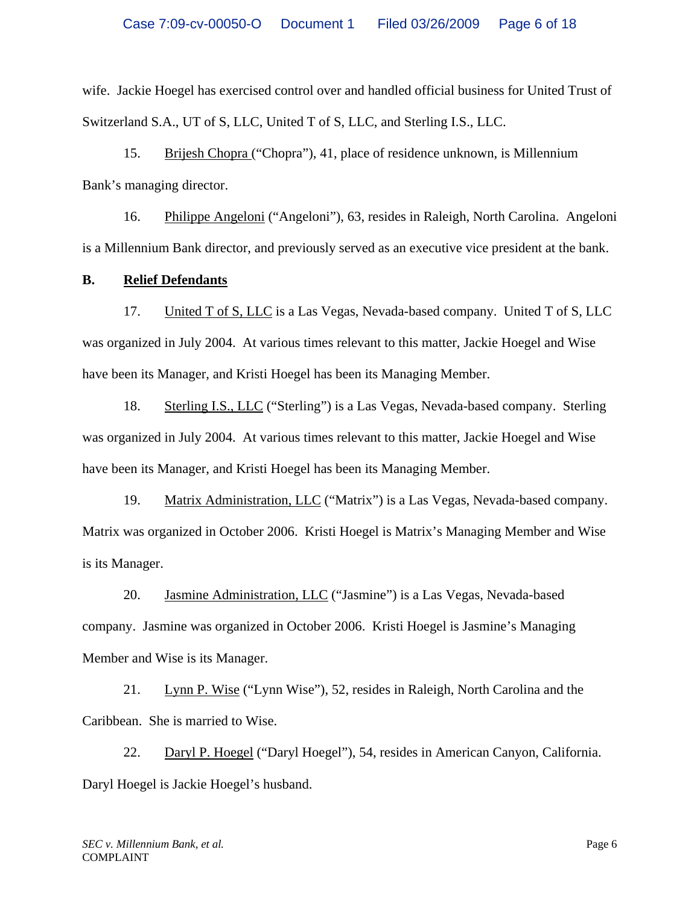wife. Jackie Hoegel has exercised control over and handled official business for United Trust of Switzerland S.A., UT of S, LLC, United T of S, LLC, and Sterling I.S., LLC.

15. Brijesh Chopra ("Chopra"), 41, place of residence unknown, is Millennium Bank's managing director.

16. Philippe Angeloni ("Angeloni"), 63, resides in Raleigh, North Carolina. Angeloni is a Millennium Bank director, and previously served as an executive vice president at the bank.

#### **B. Relief Defendants**

17. United T of S, LLC is a Las Vegas, Nevada-based company. United T of S, LLC was organized in July 2004. At various times relevant to this matter, Jackie Hoegel and Wise have been its Manager, and Kristi Hoegel has been its Managing Member.

18. Sterling I.S., LLC ("Sterling") is a Las Vegas, Nevada-based company. Sterling was organized in July 2004. At various times relevant to this matter, Jackie Hoegel and Wise have been its Manager, and Kristi Hoegel has been its Managing Member.

19. Matrix Administration, LLC ("Matrix") is a Las Vegas, Nevada-based company. Matrix was organized in October 2006. Kristi Hoegel is Matrix's Managing Member and Wise is its Manager.

20. Jasmine Administration, LLC ("Jasmine") is a Las Vegas, Nevada-based company. Jasmine was organized in October 2006. Kristi Hoegel is Jasmine's Managing Member and Wise is its Manager.

21. Lynn P. Wise ("Lynn Wise"), 52, resides in Raleigh, North Carolina and the Caribbean. She is married to Wise.

22. Daryl P. Hoegel ("Daryl Hoegel"), 54, resides in American Canyon, California. Daryl Hoegel is Jackie Hoegel's husband.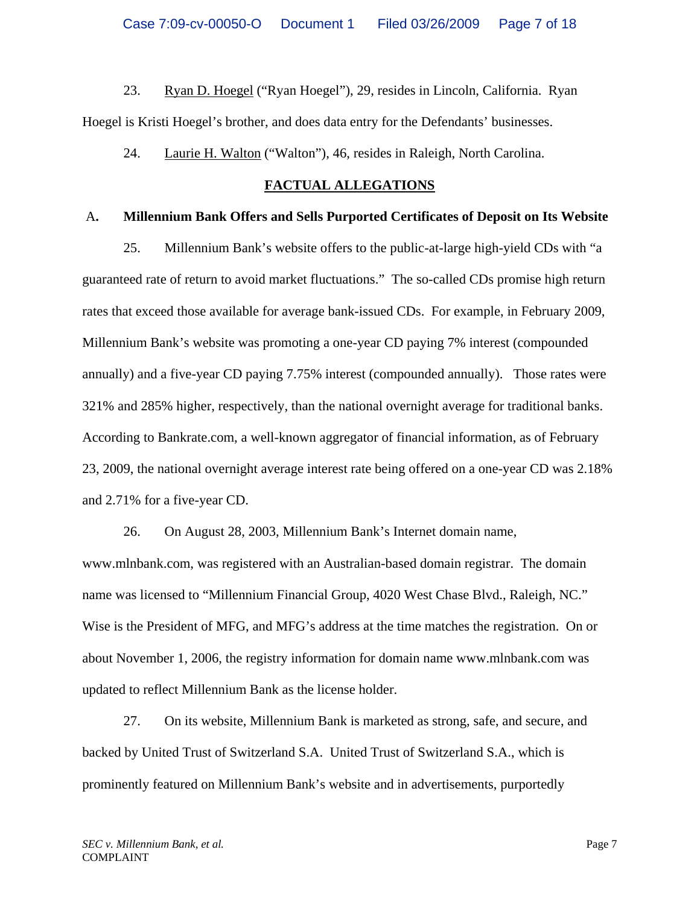23. Ryan D. Hoegel ("Ryan Hoegel"), 29, resides in Lincoln, California. Ryan Hoegel is Kristi Hoegel's brother, and does data entry for the Defendants' businesses.

24. Laurie H. Walton ("Walton"), 46, resides in Raleigh, North Carolina.

## **FACTUAL ALLEGATIONS**

#### A**. Millennium Bank Offers and Sells Purported Certificates of Deposit on Its Website**

25. Millennium Bank's website offers to the public-at-large high-yield CDs with "a guaranteed rate of return to avoid market fluctuations." The so-called CDs promise high return rates that exceed those available for average bank-issued CDs. For example, in February 2009, Millennium Bank's website was promoting a one-year CD paying 7% interest (compounded annually) and a five-year CD paying 7.75% interest (compounded annually). Those rates were 321% and 285% higher, respectively, than the national overnight average for traditional banks. According to Bankrate.com, a well-known aggregator of financial information, as of February 23, 2009, the national overnight average interest rate being offered on a one-year CD was 2.18% and 2.71% for a five-year CD.

26. On August 28, 2003, Millennium Bank's Internet domain name, www.mlnbank.com, was registered with an Australian-based domain registrar. The domain name was licensed to "Millennium Financial Group, 4020 West Chase Blvd., Raleigh, NC." Wise is the President of MFG, and MFG's address at the time matches the registration. On or about November 1, 2006, the registry information for domain name www.mlnbank.com was updated to reflect Millennium Bank as the license holder.

27. On its website, Millennium Bank is marketed as strong, safe, and secure, and backed by United Trust of Switzerland S.A. United Trust of Switzerland S.A., which is prominently featured on Millennium Bank's website and in advertisements, purportedly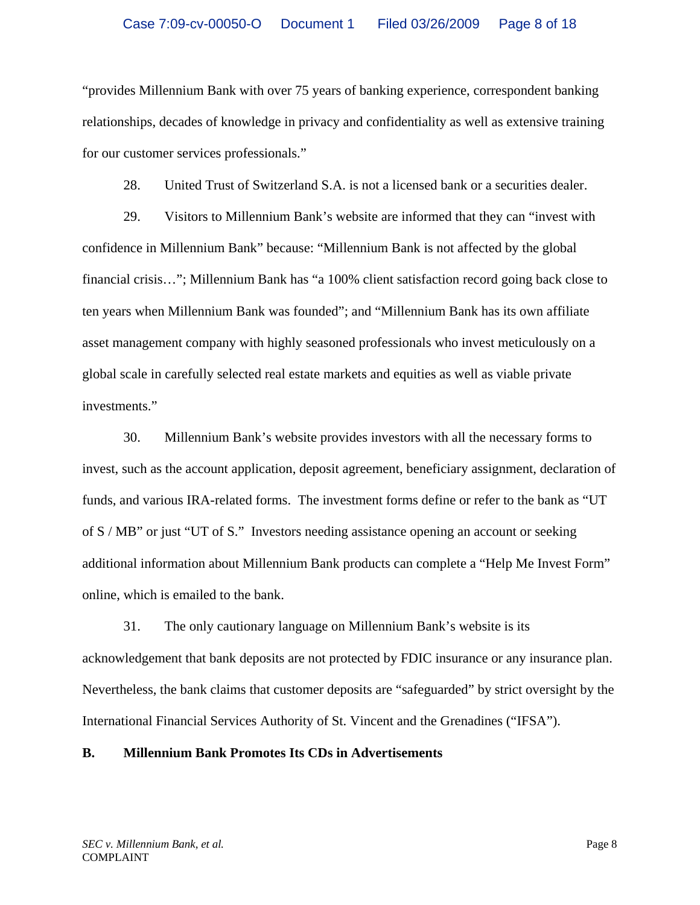"provides Millennium Bank with over 75 years of banking experience, correspondent banking relationships, decades of knowledge in privacy and confidentiality as well as extensive training for our customer services professionals."

28. United Trust of Switzerland S.A. is not a licensed bank or a securities dealer.

29. Visitors to Millennium Bank's website are informed that they can "invest with confidence in Millennium Bank" because: "Millennium Bank is not affected by the global financial crisis…"; Millennium Bank has "a 100% client satisfaction record going back close to ten years when Millennium Bank was founded"; and "Millennium Bank has its own affiliate asset management company with highly seasoned professionals who invest meticulously on a global scale in carefully selected real estate markets and equities as well as viable private investments."

30. Millennium Bank's website provides investors with all the necessary forms to invest, such as the account application, deposit agreement, beneficiary assignment, declaration of funds, and various IRA-related forms. The investment forms define or refer to the bank as "UT of S / MB" or just "UT of S." Investors needing assistance opening an account or seeking additional information about Millennium Bank products can complete a "Help Me Invest Form" online, which is emailed to the bank.

31. The only cautionary language on Millennium Bank's website is its acknowledgement that bank deposits are not protected by FDIC insurance or any insurance plan. Nevertheless, the bank claims that customer deposits are "safeguarded" by strict oversight by the International Financial Services Authority of St. Vincent and the Grenadines ("IFSA").

## **B. Millennium Bank Promotes Its CDs in Advertisements**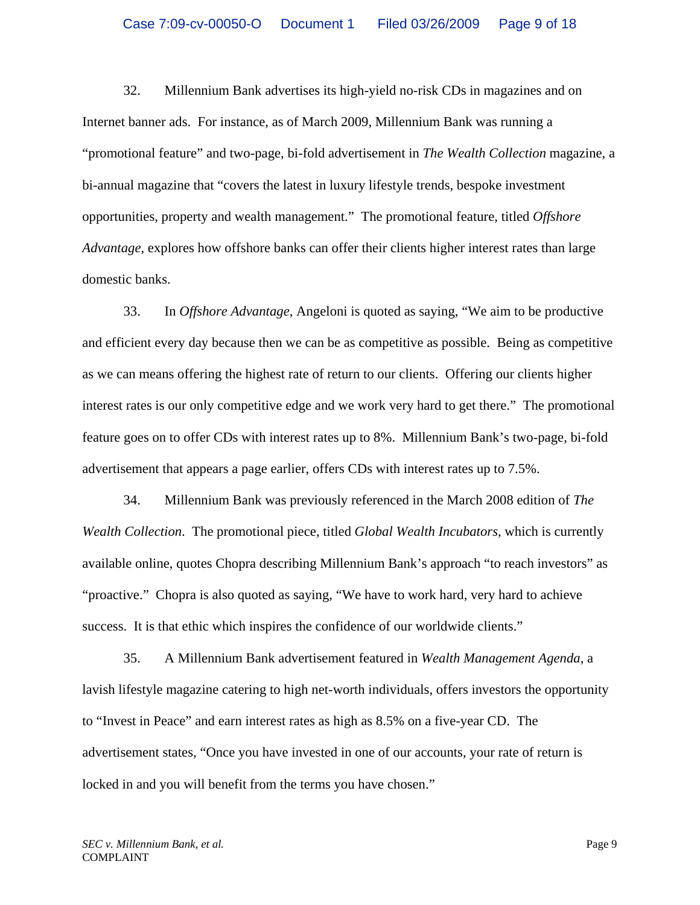32. Millennium Bank advertises its high-yield no-risk CDs in magazines and on Internet banner ads. For instance, as of March 2009, Millennium Bank was running a "promotional feature" and two-page, bi-fold advertisement in *The Wealth Collection* magazine, a bi-annual magazine that "covers the latest in luxury lifestyle trends, bespoke investment opportunities, property and wealth management." The promotional feature, titled *Offshore Advantage*, explores how offshore banks can offer their clients higher interest rates than large domestic banks.

33. In *Offshore Advantage*, Angeloni is quoted as saying, "We aim to be productive and efficient every day because then we can be as competitive as possible. Being as competitive as we can means offering the highest rate of return to our clients. Offering our clients higher interest rates is our only competitive edge and we work very hard to get there." The promotional feature goes on to offer CDs with interest rates up to 8%. Millennium Bank's two-page, bi-fold advertisement that appears a page earlier, offers CDs with interest rates up to 7.5%.

34. Millennium Bank was previously referenced in the March 2008 edition of *The Wealth Collection*. The promotional piece, titled *Global Wealth Incubators*, which is currently available online, quotes Chopra describing Millennium Bank's approach "to reach investors" as "proactive." Chopra is also quoted as saying, "We have to work hard, very hard to achieve success. It is that ethic which inspires the confidence of our worldwide clients."

35. A Millennium Bank advertisement featured in *Wealth Management Agenda*, a lavish lifestyle magazine catering to high net-worth individuals, offers investors the opportunity to "Invest in Peace" and earn interest rates as high as 8.5% on a five-year CD. The advertisement states, "Once you have invested in one of our accounts, your rate of return is locked in and you will benefit from the terms you have chosen."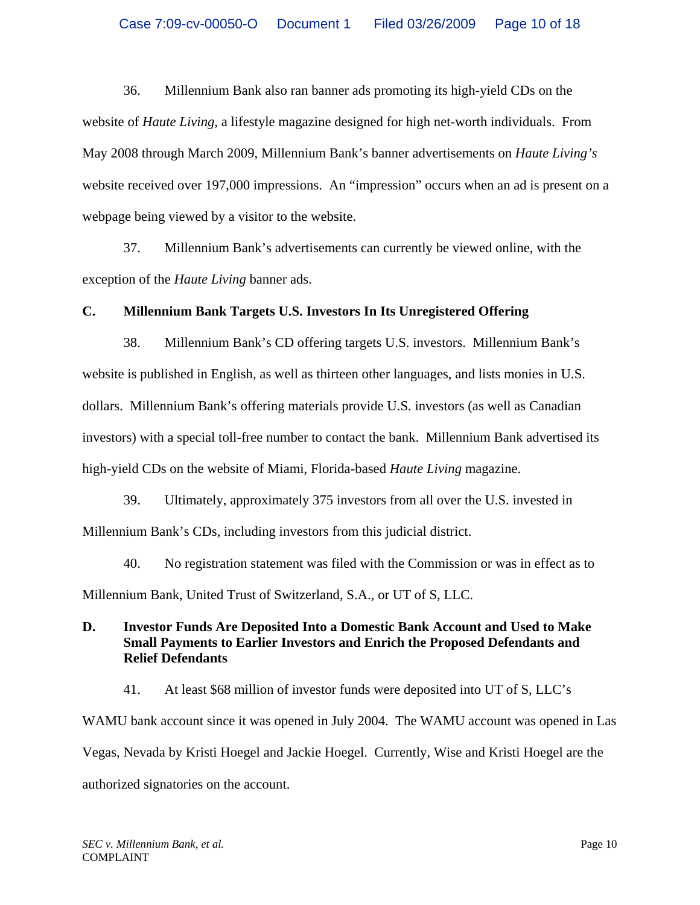webpage being viewed by a visitor to the website. 36. Millennium Bank also ran banner ads promoting its high-yield CDs on the website of *Haute Living*, a lifestyle magazine designed for high net-worth individuals. From May 2008 through March 2009, Millennium Bank's banner advertisements on *Haute Living's*  website received over 197,000 impressions. An "impression" occurs when an ad is present on a

37. Millennium Bank's advertisements can currently be viewed online, with the exception of the *Haute Living* banner ads.

## **C. Millennium Bank Targets U.S. Investors In Its Unregistered Offering**

38. Millennium Bank's CD offering targets U.S. investors. Millennium Bank's website is published in English, as well as thirteen other languages, and lists monies in U.S. dollars. Millennium Bank's offering materials provide U.S. investors (as well as Canadian investors) with a special toll-free number to contact the bank. Millennium Bank advertised its high-yield CDs on the website of Miami, Florida-based *Haute Living* magazine.

39. Ultimately, approximately 375 investors from all over the U.S. invested in Millennium Bank's CDs, including investors from this judicial district.

40. No registration statement was filed with the Commission or was in effect as to Millennium Bank, United Trust of Switzerland, S.A., or UT of S, LLC.

## **D. Investor Funds Are Deposited Into a Domestic Bank Account and Used to Make Small Payments to Earlier Investors and Enrich the Proposed Defendants and Relief Defendants**

41. At least \$68 million of investor funds were deposited into UT of S, LLC's WAMU bank account since it was opened in July 2004. The WAMU account was opened in Las Vegas, Nevada by Kristi Hoegel and Jackie Hoegel. Currently, Wise and Kristi Hoegel are the

authorized signatories on the account.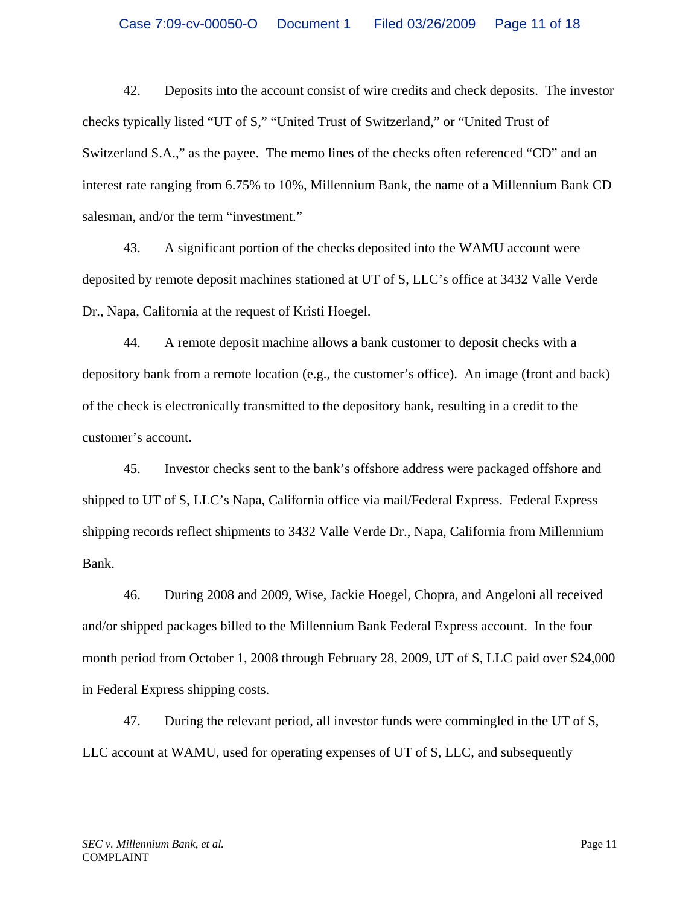42. Deposits into the account consist of wire credits and check deposits. The investor checks typically listed "UT of S," "United Trust of Switzerland," or "United Trust of Switzerland S.A.," as the payee. The memo lines of the checks often referenced "CD" and an interest rate ranging from 6.75% to 10%, Millennium Bank, the name of a Millennium Bank CD salesman, and/or the term "investment."

43. A significant portion of the checks deposited into the WAMU account were deposited by remote deposit machines stationed at UT of S, LLC's office at 3432 Valle Verde Dr., Napa, California at the request of Kristi Hoegel.

44. A remote deposit machine allows a bank customer to deposit checks with a depository bank from a remote location (e.g., the customer's office). An image (front and back) of the check is electronically transmitted to the depository bank, resulting in a credit to the customer's account.

45. Investor checks sent to the bank's offshore address were packaged offshore and shipped to UT of S, LLC's Napa, California office via mail/Federal Express. Federal Express shipping records reflect shipments to 3432 Valle Verde Dr., Napa, California from Millennium Bank.

46. During 2008 and 2009, Wise, Jackie Hoegel, Chopra, and Angeloni all received and/or shipped packages billed to the Millennium Bank Federal Express account. In the four month period from October 1, 2008 through February 28, 2009, UT of S, LLC paid over \$24,000 in Federal Express shipping costs.

47. During the relevant period, all investor funds were commingled in the UT of S, LLC account at WAMU, used for operating expenses of UT of S, LLC, and subsequently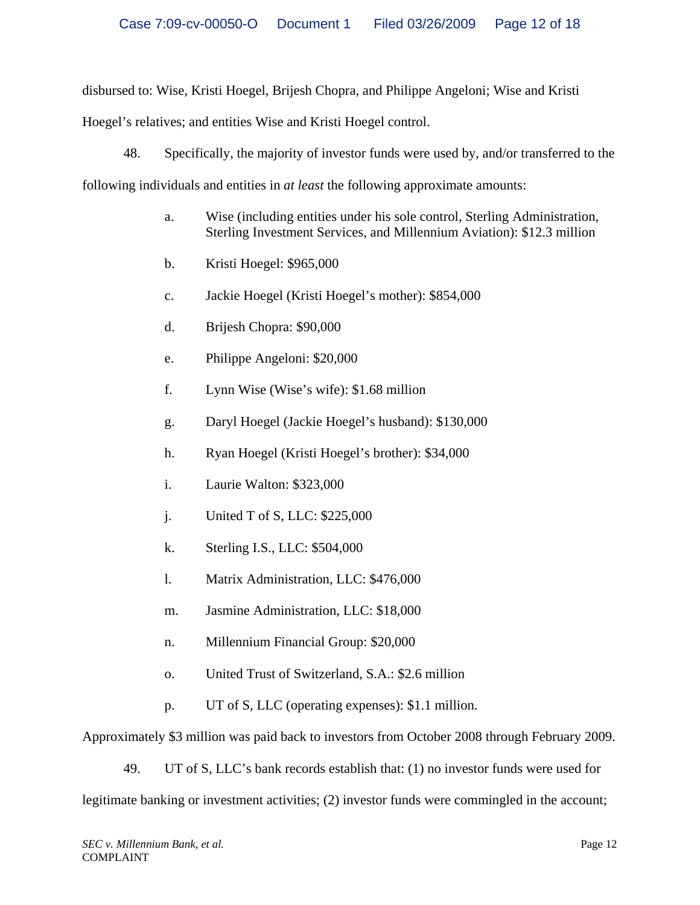disbursed to: Wise, Kristi Hoegel, Brijesh Chopra, and Philippe Angeloni; Wise and Kristi

Hoegel's relatives; and entities Wise and Kristi Hoegel control.

48. Specifically, the majority of investor funds were used by, and/or transferred to the

following individuals and entities in *at least* the following approximate amounts:

- a. Wise (including entities under his sole control, Sterling Administration, Sterling Investment Services, and Millennium Aviation): \$12.3 million
- b. Kristi Hoegel: \$965,000
- c. Jackie Hoegel (Kristi Hoegel's mother): \$854,000
- d. Brijesh Chopra: \$90,000
- e. Philippe Angeloni: \$20,000
- f. Lynn Wise (Wise's wife): \$1.68 million
- g. Daryl Hoegel (Jackie Hoegel's husband): \$130,000
- h. Ryan Hoegel (Kristi Hoegel's brother): \$34,000
- i. Laurie Walton: \$323,000
- j. United T of S, LLC: \$225,000
- k. Sterling I.S., LLC: \$504,000
- l. Matrix Administration, LLC: \$476,000
- m. Jasmine Administration, LLC: \$18,000
- n. Millennium Financial Group: \$20,000
- o. United Trust of Switzerland, S.A.: \$2.6 million
- p. UT of S, LLC (operating expenses): \$1.1 million.

Approximately \$3 million was paid back to investors from October 2008 through February 2009.

49. UT of S, LLC's bank records establish that: (1) no investor funds were used for

legitimate banking or investment activities; (2) investor funds were commingled in the account;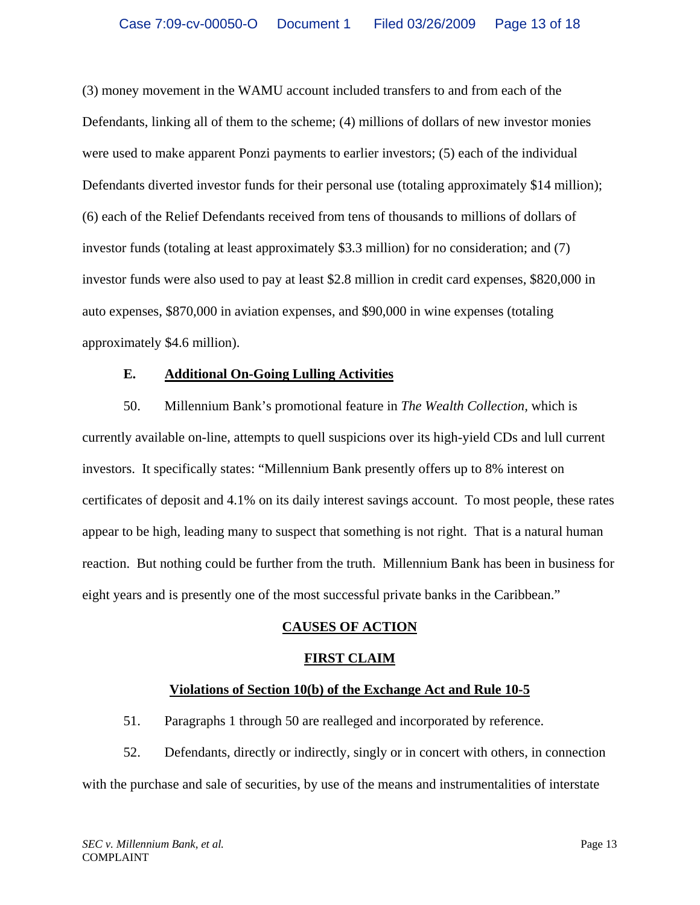(3) money movement in the WAMU account included transfers to and from each of the Defendants, linking all of them to the scheme; (4) millions of dollars of new investor monies were used to make apparent Ponzi payments to earlier investors; (5) each of the individual Defendants diverted investor funds for their personal use (totaling approximately \$14 million); (6) each of the Relief Defendants received from tens of thousands to millions of dollars of investor funds (totaling at least approximately \$3.3 million) for no consideration; and (7) investor funds were also used to pay at least \$2.8 million in credit card expenses, \$820,000 in auto expenses, \$870,000 in aviation expenses, and \$90,000 in wine expenses (totaling approximately \$4.6 million).

#### **E. Additional On-Going Lulling Activities**

50. Millennium Bank's promotional feature in *The Wealth Collection,* which is currently available on-line, attempts to quell suspicions over its high-yield CDs and lull current investors. It specifically states: "Millennium Bank presently offers up to 8% interest on certificates of deposit and 4.1% on its daily interest savings account. To most people, these rates appear to be high, leading many to suspect that something is not right. That is a natural human reaction. But nothing could be further from the truth. Millennium Bank has been in business for eight years and is presently one of the most successful private banks in the Caribbean."

## **CAUSES OF ACTION**

## **FIRST CLAIM**

## **Violations of Section 10(b) of the Exchange Act and Rule 10-5**

51. Paragraphs 1 through 50 are realleged and incorporated by reference.

52. Defendants, directly or indirectly, singly or in concert with others, in connection with the purchase and sale of securities, by use of the means and instrumentalities of interstate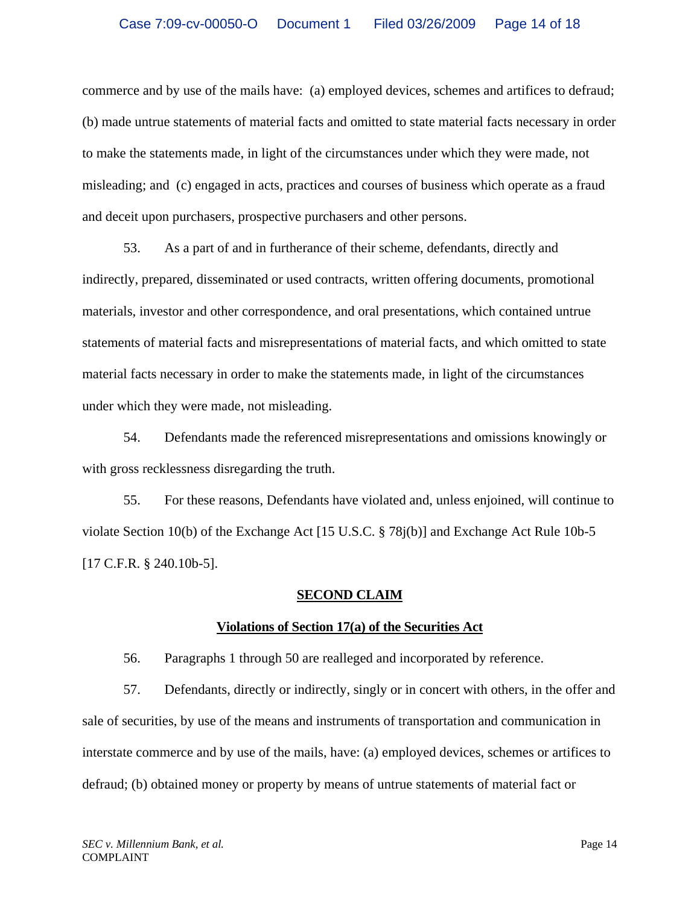commerce and by use of the mails have: (a) employed devices, schemes and artifices to defraud; (b) made untrue statements of material facts and omitted to state material facts necessary in order to make the statements made, in light of the circumstances under which they were made, not misleading; and (c) engaged in acts, practices and courses of business which operate as a fraud and deceit upon purchasers, prospective purchasers and other persons.

53. As a part of and in furtherance of their scheme, defendants, directly and indirectly, prepared, disseminated or used contracts, written offering documents, promotional materials, investor and other correspondence, and oral presentations, which contained untrue statements of material facts and misrepresentations of material facts, and which omitted to state material facts necessary in order to make the statements made, in light of the circumstances under which they were made, not misleading.

54. Defendants made the referenced misrepresentations and omissions knowingly or with gross recklessness disregarding the truth.

55. For these reasons, Defendants have violated and, unless enjoined, will continue to violate Section 10(b) of the Exchange Act [15 U.S.C. § 78j(b)] and Exchange Act Rule 10b-5 [17 C.F.R. § 240.10b-5].

#### **SECOND CLAIM**

## **Violations of Section 17(a) of the Securities Act**

56. Paragraphs 1 through 50 are realleged and incorporated by reference.

57. Defendants, directly or indirectly, singly or in concert with others, in the offer and sale of securities, by use of the means and instruments of transportation and communication in interstate commerce and by use of the mails, have: (a) employed devices, schemes or artifices to defraud; (b) obtained money or property by means of untrue statements of material fact or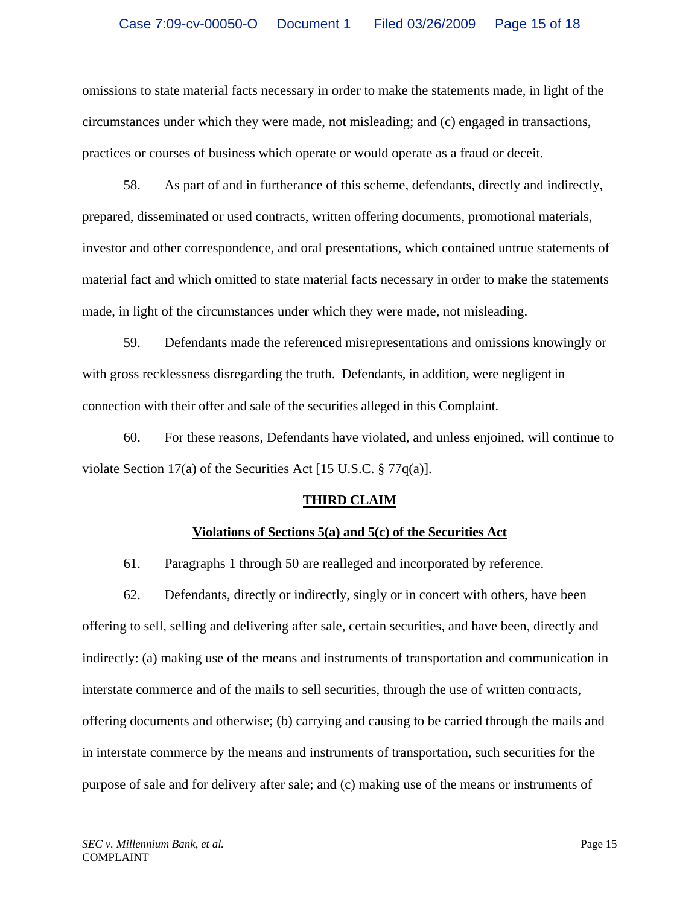omissions to state material facts necessary in order to make the statements made, in light of the circumstances under which they were made, not misleading; and (c) engaged in transactions, practices or courses of business which operate or would operate as a fraud or deceit.

58. As part of and in furtherance of this scheme, defendants, directly and indirectly, prepared, disseminated or used contracts, written offering documents, promotional materials, investor and other correspondence, and oral presentations, which contained untrue statements of material fact and which omitted to state material facts necessary in order to make the statements made, in light of the circumstances under which they were made, not misleading.

59. Defendants made the referenced misrepresentations and omissions knowingly or with gross recklessness disregarding the truth. Defendants, in addition, were negligent in connection with their offer and sale of the securities alleged in this Complaint.

60. For these reasons, Defendants have violated, and unless enjoined, will continue to violate Section 17(a) of the Securities Act [15 U.S.C. § 77q(a)].

## **THIRD CLAIM**

## **Violations of Sections 5(a) and 5(c) of the Securities Act**

61. Paragraphs 1 through 50 are realleged and incorporated by reference.

62. Defendants, directly or indirectly, singly or in concert with others, have been offering to sell, selling and delivering after sale, certain securities, and have been, directly and indirectly: (a) making use of the means and instruments of transportation and communication in interstate commerce and of the mails to sell securities, through the use of written contracts, offering documents and otherwise; (b) carrying and causing to be carried through the mails and in interstate commerce by the means and instruments of transportation, such securities for the purpose of sale and for delivery after sale; and (c) making use of the means or instruments of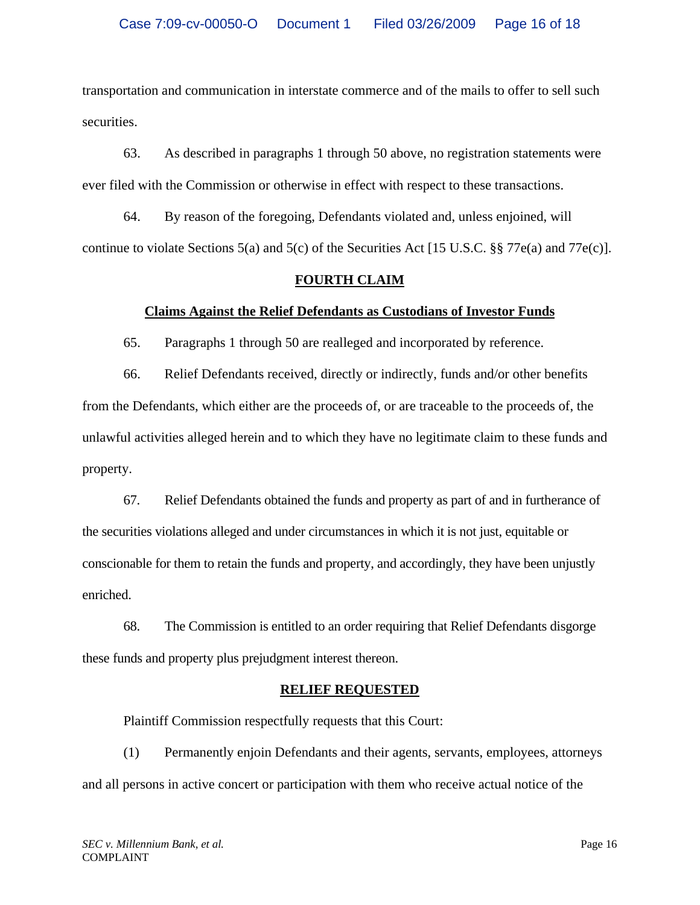transportation and communication in interstate commerce and of the mails to offer to sell such securities.

63. As described in paragraphs 1 through 50 above, no registration statements were ever filed with the Commission or otherwise in effect with respect to these transactions.

64. By reason of the foregoing, Defendants violated and, unless enjoined, will continue to violate Sections 5(a) and 5(c) of the Securities Act [15 U.S.C. §§ 77e(a) and 77e(c)].

#### **FOURTH CLAIM**

# **Claims Against the Relief Defendants as Custodians of Investor Funds**

65. Paragraphs 1 through 50 are realleged and incorporated by reference.

66. Relief Defendants received, directly or indirectly, funds and/or other benefits from the Defendants, which either are the proceeds of, or are traceable to the proceeds of, the unlawful activities alleged herein and to which they have no legitimate claim to these funds and property.

67. Relief Defendants obtained the funds and property as part of and in furtherance of the securities violations alleged and under circumstances in which it is not just, equitable or conscionable for them to retain the funds and property, and accordingly, they have been unjustly enriched.

68. The Commission is entitled to an order requiring that Relief Defendants disgorge these funds and property plus prejudgment interest thereon.

#### **RELIEF REQUESTED**

Plaintiff Commission respectfully requests that this Court:

(1) Permanently enjoin Defendants and their agents, servants, employees, attorneys and all persons in active concert or participation with them who receive actual notice of the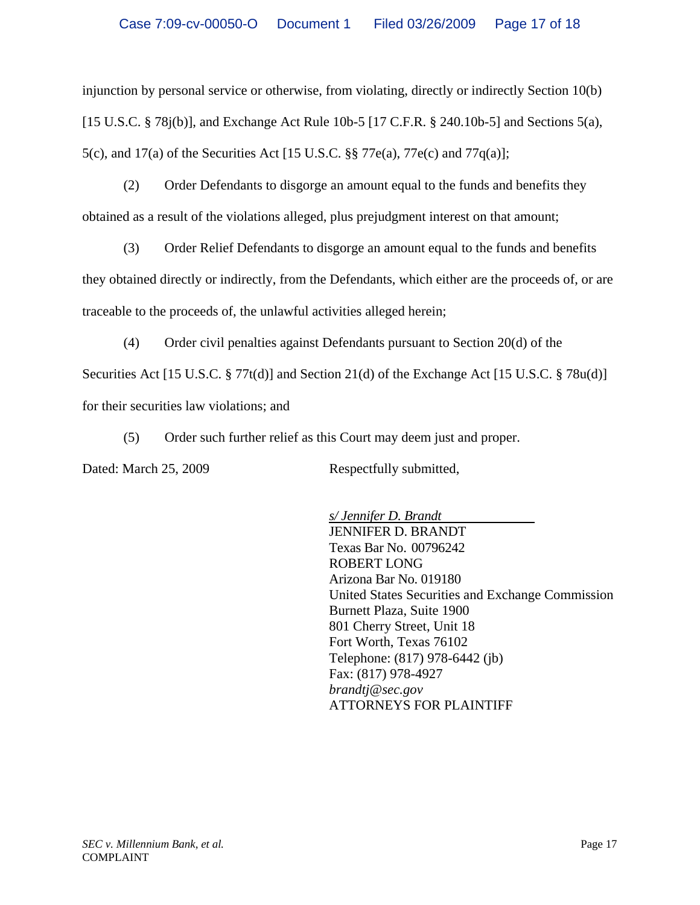injunction by personal service or otherwise, from violating, directly or indirectly Section 10(b) [15 U.S.C. § 78](b)], and Exchange Act Rule 10b-5 [17 C.F.R. § 240.10b-5] and Sections 5(a), 5(c), and 17(a) of the Securities Act [15 U.S.C. §§ 77e(a), 77e(c) and 77q(a)];

(2) Order Defendants to disgorge an amount equal to the funds and benefits they obtained as a result of the violations alleged, plus prejudgment interest on that amount;

(3) Order Relief Defendants to disgorge an amount equal to the funds and benefits

they obtained directly or indirectly, from the Defendants, which either are the proceeds of, or are traceable to the proceeds of, the unlawful activities alleged herein;

(4) Order civil penalties against Defendants pursuant to Section 20(d) of the Securities Act [15 U.S.C. § 77t(d)] and Section 21(d) of the Exchange Act [15 U.S.C. § 78u(d)] for their securities law violations; and

(5) Order such further relief as this Court may deem just and proper.

Dated: March 25, 2009 Respectfully submitted,

 ATTORNEYS FOR PLAINTIFF *s/ Jennifer D. Brandt* JENNIFER D. BRANDT Texas Bar No. 00796242 ROBERT LONG Arizona Bar No. 019180 United States Securities and Exchange Commission Burnett Plaza, Suite 1900 801 Cherry Street, Unit 18 Fort Worth, Texas 76102 Telephone: (817) 978-6442 (jb) Fax: (817) 978-4927 *brandtj@sec.gov*